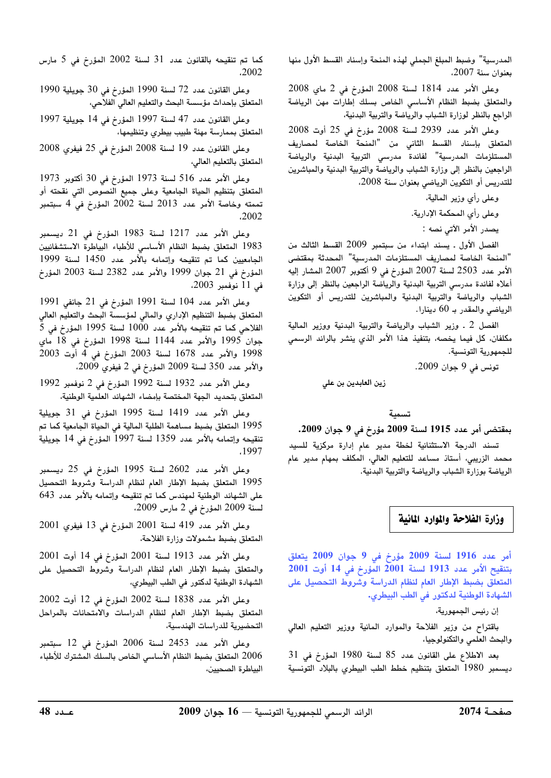المدرسية" وضبط المبلغ الجملي لهذه المنحة وإسناد القسط الأول منها بعنوان سنة 2007.

وعلى الأمر عدد 1814 لسنة 2008 المؤرخ في 2 ماي 2008 والمتعلق بضبط النظام الأساسي الخاص بسلك إطارات مهن الرياضة الراجع بالنظر لوزارة الشباب والرياضة والتربية البدنية،

وعلى الأمر عدد 2939 لسنة 2008 مؤرخ في 25 أوت 2008 المتعلق بإسناد القسط الثاني من "المنحة الخاصة لمصاريف المستلزمات المدرسية" لفائدة مدرسى التربية البدنية والرياضة الراجعين بالنظر إلى وزارة الشباب والرياضة والتربية البدنية والمباشرين للتدريس أو التكوين الرياضي بعنوان سنة 2008،

وعلى رأى وزير المالية،

وعلى رأى المحكمة الإدارية.

يصدر الأمر الآتي نصه :

الفصل الأول . يسند ابتداء من سبتمبر 2009 القسط الثالث من "المنحة الخاصة لمصاريف المستلزمات المدرسية" المحدثة بمقتضى الأمر عدد 2503 لسنة 2007 المؤرخ في 9 أكتوبر 2007 المشار إليه أعلاه لفائدة مدرسى التربية البدنية والرياضة الراجعين بالنظر إلى وزارة الشباب والرياضة والتربية البدنية والمباشرين للتدريس أو التكوين الرياضي والمقدر بـ 60 دينارا.

الفصل 2 ـ وزير الشباب والرياضة والتربية البدنية ووزير المالية مكلفان، كل فيما يخصه، بتنفيذ هذا الأمر الذى ينشر بالرائد الرسمى للجمهورية التونسية.

تونس في 9 جوان 2009.

زين العابدين بن علي

## تسمية

## بمقتضى أمر عدد 1915 لسنة 2009 مؤرخ في 9 جوان 2009.

تسند الدرجة الاستثنائية لخطة مدير عام إدارة مركزية للسيد محمد الزريبى، أستاذ مساعد للتعليم العالى، المكلف بمهام مدير عام الرياضة بوزارة الشباب والرياضة والتربية البدنية.

## وزارة الفلاحة والموارد المائية

أمر عدد 1916 لسنة 2009 مؤرخ في 9 جوان 2009 يتعلق بتنقيح الأمر عدد 1913 لسنة 2001 المؤرخ في 14 أوت 2001 المتعلق بضبط الإطار العام لنظام الدراسة وشروط التحصيل على الشهادة الوطنية لدكتور في الطب البيطري.

إن رئيس الجمهورية،

باقتراح من وزير الفلاحة والموارد المائية ووزير التعليم العالي والبحث العلمي والتكنولوجيا،

بعد الاطلاع على القانون عدد 85 لسنة 1980 المؤرخ في 31 ديسمبر 1980 المتعلق بتنظيم خطط الطب البيطري بالبلاد التونسية

كما تم تنقيحه بالقانون عدد 31 لسنة 2002 المؤرخ في 5 مارس .2002

وعلى القانون عدد 72 لسنة 1990 المؤرخ في 30 جويلية 1990 المتعلق بإحداث مؤسسة البحث والتعليم العالي الفلاحي،

وعلى القانون عدد 47 لسنة 1997 المؤرخ في 14 جويلية 1997 المتعلق بممارسة مهنة طبيب بيطري وتنظيمها،

وعلى القانون عدد 19 لسنة 2008 المؤرخ في 25 فيفري 2008 المتعلق بالتعليم العالى،

وعلى الأمر عدد 516 لسنة 1973 المؤرخ في 30 أكتوبر 1973 المتعلق بتنظيم الحياة الجامعية وعلى جميع النصوص التي نقحته أو تممته وخاصة الأمر عدد 2013 لسنة 2002 المؤرخ في 4 سبتمبر .2002

وعلى الأمر عدد 1217 لسنة 1983 المؤرخ في 21 ديسمبر 1983 المتعلق بضبط النظام الأساسي للأطباء البياطرة الاستشفائيين الجامعيين كما تم تنقيحه وإتمامه بالأمر عدد 1450 لسنة 1999 المؤرخ في 21 جوان 1999 والأمر عدد 2382 لسنة 2003 المؤرخ فى 11 نوفمبر 2003.

وعلى الأمر عدد 104 لسنة 1991 المؤرخ في 21 جانفي 1991 المتعلق بضبط التنظيم الإداري والمالي لمؤسسة البحث والتعليم العالي الفلاحي كما تم تنقيحه بالأمر عدد 1000 لسنة 1995 المؤرخ في 5 جوان 1995 والأمر عدد 1144 لسنة 1998 المؤرخ في 18 ماي 1998 والأمر عدد 1678 لسنة 2003 المؤرخ في 4 أوت 2003 والأمر عدد 350 لسنة 2009 المؤرخ في 2 فيفري 2009،

وعلى الأمر عدد 1932 لسنة 1992 المؤرخ في 2 نوفمبر 1992 المتعلق بتحديد الجهة المختصة بإمضاء الشهائد العلمية الوطنية،

وعلى الأمر عدد 1419 لسنة 1995 المؤرخ في 31 جويلية 1995 المتعلق بضبط مساهمة الطلبة المالية في الحياة الجامعية كما تم تنقيحه وإتمامه بالأمر عدد 1359 لسنة 1997 المؤرخ في 14 جويلية ,1997

وعلى الأمر عدد 2602 لسنة 1995 المؤرخ في 25 ديسمبر 1995 المتعلق بضبط الإطار العام لنظام الدراسة وشروط التحصيل على الشهائد الوطنية لمهندس كما تم تنقيحه وإتمامه بالأمر عدد 643 لسنة 2009 المؤرخ في 2 مارس 2009،

وعلى الأمر عدد 419 لسنة 2001 المؤرخ في 13 فيفري 2001 المتعلق بضبط مشمولات وزارة الفلاحة،

وعلى الأمر عدد 1913 لسنة 2001 المؤرخ في 14 أوت 2001 والمتعلق بضبط الإطار العام لنظام الدراسة وشروط التحصيل على الشهادة الوطنية لدكتور في الطب البيطري،

وعلى الأمر عدد 1838 لسنة 2002 المؤرخ في 12 أوت 2002 المتعلق بضبط الإطار العام لنظام الدراسات والامتحانات بالمراحل التحضيرية للدراسات الهندسية،

وعلى الأمر عدد 2453 لسنة 2006 المؤرخ في 12 سبتمبر 2006 المتعلق بضبط النظام الأساسى الخاص بالسلك المشترك للأطباء البياطرة الصحيين،